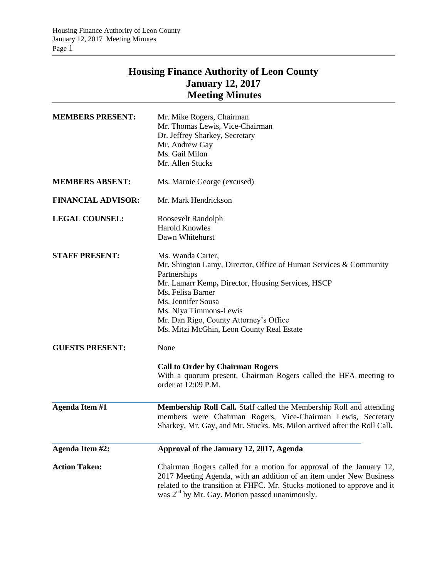# **Housing Finance Authority of Leon County January 12, 2017 Meeting Minutes**

| <b>MEMBERS PRESENT:</b>   | Mr. Mike Rogers, Chairman<br>Mr. Thomas Lewis, Vice-Chairman<br>Dr. Jeffrey Sharkey, Secretary<br>Mr. Andrew Gay<br>Ms. Gail Milon<br>Mr. Allen Stucks                                                                                                                                                                  |
|---------------------------|-------------------------------------------------------------------------------------------------------------------------------------------------------------------------------------------------------------------------------------------------------------------------------------------------------------------------|
| <b>MEMBERS ABSENT:</b>    | Ms. Marnie George (excused)                                                                                                                                                                                                                                                                                             |
| <b>FINANCIAL ADVISOR:</b> | Mr. Mark Hendrickson                                                                                                                                                                                                                                                                                                    |
| <b>LEGAL COUNSEL:</b>     | Roosevelt Randolph<br><b>Harold Knowles</b><br>Dawn Whitehurst                                                                                                                                                                                                                                                          |
| <b>STAFF PRESENT:</b>     | Ms. Wanda Carter,<br>Mr. Shington Lamy, Director, Office of Human Services & Community<br>Partnerships<br>Mr. Lamarr Kemp, Director, Housing Services, HSCP<br>Ms. Felisa Barner<br>Ms. Jennifer Sousa<br>Ms. Niya Timmons-Lewis<br>Mr. Dan Rigo, County Attorney's Office<br>Ms. Mitzi McGhin, Leon County Real Estate |
| <b>GUESTS PRESENT:</b>    | None                                                                                                                                                                                                                                                                                                                    |
|                           | <b>Call to Order by Chairman Rogers</b><br>With a quorum present, Chairman Rogers called the HFA meeting to<br>order at 12:09 P.M.                                                                                                                                                                                      |
| <b>Agenda Item #1</b>     | Membership Roll Call. Staff called the Membership Roll and attending<br>members were Chairman Rogers, Vice-Chairman Lewis, Secretary<br>Sharkey, Mr. Gay, and Mr. Stucks. Ms. Milon arrived after the Roll Call.                                                                                                        |
| Agenda Item #2:           | Approval of the January 12, 2017, Agenda                                                                                                                                                                                                                                                                                |
| <b>Action Taken:</b>      | Chairman Rogers called for a motion for approval of the January 12,<br>2017 Meeting Agenda, with an addition of an item under New Business<br>related to the transition at FHFC. Mr. Stucks motioned to approve and it<br>was 2 <sup>nd</sup> by Mr. Gay. Motion passed unanimously.                                    |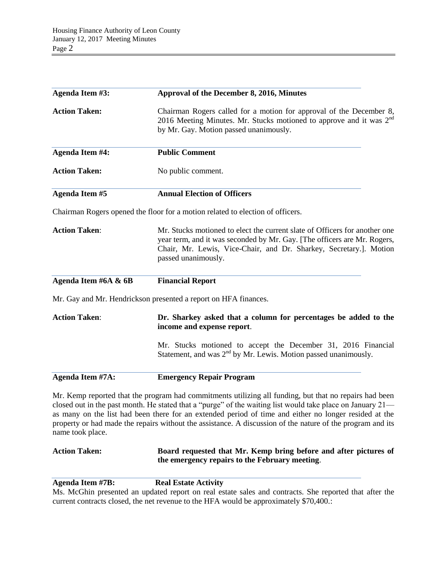| Agenda Item #3:        | Approval of the December 8, 2016, Minutes                                                                                                                                                                                                                                                                                                                                                                                                   |
|------------------------|---------------------------------------------------------------------------------------------------------------------------------------------------------------------------------------------------------------------------------------------------------------------------------------------------------------------------------------------------------------------------------------------------------------------------------------------|
| <b>Action Taken:</b>   | Chairman Rogers called for a motion for approval of the December 8,<br>2016 Meeting Minutes. Mr. Stucks motioned to approve and it was 2 <sup>nd</sup><br>by Mr. Gay. Motion passed unanimously.                                                                                                                                                                                                                                            |
| <b>Agenda Item #4:</b> | <b>Public Comment</b>                                                                                                                                                                                                                                                                                                                                                                                                                       |
| <b>Action Taken:</b>   | No public comment.                                                                                                                                                                                                                                                                                                                                                                                                                          |
| <b>Agenda Item #5</b>  | <b>Annual Election of Officers</b>                                                                                                                                                                                                                                                                                                                                                                                                          |
|                        | Chairman Rogers opened the floor for a motion related to election of officers.                                                                                                                                                                                                                                                                                                                                                              |
| <b>Action Taken:</b>   | Mr. Stucks motioned to elect the current slate of Officers for another one<br>year term, and it was seconded by Mr. Gay. [The officers are Mr. Rogers,<br>Chair, Mr. Lewis, Vice-Chair, and Dr. Sharkey, Secretary.]. Motion<br>passed unanimously.                                                                                                                                                                                         |
| Agenda Item #6A & 6B   | <b>Financial Report</b>                                                                                                                                                                                                                                                                                                                                                                                                                     |
|                        | Mr. Gay and Mr. Hendrickson presented a report on HFA finances.                                                                                                                                                                                                                                                                                                                                                                             |
| <b>Action Taken:</b>   | Dr. Sharkey asked that a column for percentages be added to the<br>income and expense report.                                                                                                                                                                                                                                                                                                                                               |
|                        | Mr. Stucks motioned to accept the December 31, 2016 Financial<br>Statement, and was $2nd$ by Mr. Lewis. Motion passed unanimously.                                                                                                                                                                                                                                                                                                          |
| Agenda Item #7A:       | <b>Emergency Repair Program</b>                                                                                                                                                                                                                                                                                                                                                                                                             |
| name took place.       | Mr. Kemp reported that the program had commitments utilizing all funding, but that no repairs had been<br>closed out in the past month. He stated that a "purge" of the waiting list would take place on January 21—<br>as many on the list had been there for an extended period of time and either no longer resided at the<br>property or had made the repairs without the assistance. A discussion of the nature of the program and its |

**Action Taken: Board requested that Mr. Kemp bring before and after pictures of the emergency repairs to the February meeting**.

**Agenda Item #7B:** Real Estate Activity

Ms. McGhin presented an updated report on real estate sales and contracts. She reported that after the current contracts closed, the net revenue to the HFA would be approximately \$70,400.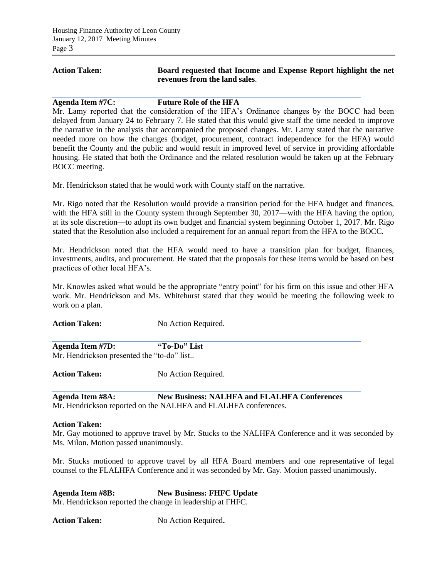### **Action Taken: Board requested that Income and Expense Report highlight the net revenues from the land sales**.

#### **Agenda Item #7C: Future Role of the HFA**

Mr. Lamy reported that the consideration of the HFA's Ordinance changes by the BOCC had been delayed from January 24 to February 7. He stated that this would give staff the time needed to improve the narrative in the analysis that accompanied the proposed changes. Mr. Lamy stated that the narrative needed more on how the changes (budget, procurement, contract independence for the HFA) would benefit the County and the public and would result in improved level of service in providing affordable housing. He stated that both the Ordinance and the related resolution would be taken up at the February BOCC meeting.

Mr. Hendrickson stated that he would work with County staff on the narrative.

Mr. Rigo noted that the Resolution would provide a transition period for the HFA budget and finances, with the HFA still in the County system through September 30, 2017—with the HFA having the option, at its sole discretion—to adopt its own budget and financial system beginning October 1, 2017. Mr. Rigo stated that the Resolution also included a requirement for an annual report from the HFA to the BOCC.

Mr. Hendrickson noted that the HFA would need to have a transition plan for budget, finances, investments, audits, and procurement. He stated that the proposals for these items would be based on best practices of other local HFA's.

Mr. Knowles asked what would be the appropriate "entry point" for his firm on this issue and other HFA work. Mr. Hendrickson and Ms. Whitehurst stated that they would be meeting the following week to work on a plan.

Action Taken: No Action Required.

**Agenda Item #7D: "To-Do" List** Mr. Hendrickson presented the "to-do" list..

Action Taken: No Action Required.

**Agenda Item #8A: New Business: NALHFA and FLALHFA Conferences** Mr. Hendrickson reported on the NALHFA and FLALHFA conferences.

#### **Action Taken:**

Mr. Gay motioned to approve travel by Mr. Stucks to the NALHFA Conference and it was seconded by Ms. Milon. Motion passed unanimously.

Mr. Stucks motioned to approve travel by all HFA Board members and one representative of legal counsel to the FLALHFA Conference and it was seconded by Mr. Gay. Motion passed unanimously.

**Agenda Item #8B: New Business: FHFC Update** Mr. Hendrickson reported the change in leadership at FHFC.

**Action Taken:** No Action Required**.**